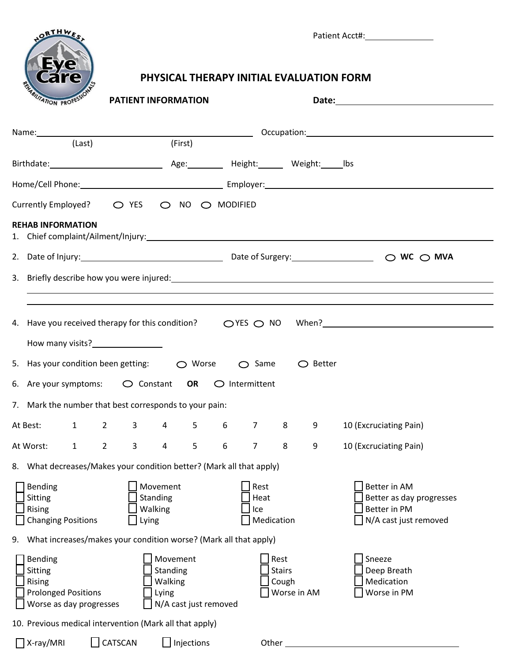

## **PHYSICAL THERAPY INITIAL EVALUATION FORM**

| <b>BILITATION PROFES</b>                                                                                                                   |        |                                                          | <b>PATIENT INFORMATION</b>               |                       |   |                                   |                                               |                   |                                                                                                        |
|--------------------------------------------------------------------------------------------------------------------------------------------|--------|----------------------------------------------------------|------------------------------------------|-----------------------|---|-----------------------------------|-----------------------------------------------|-------------------|--------------------------------------------------------------------------------------------------------|
|                                                                                                                                            |        |                                                          |                                          |                       |   |                                   |                                               |                   |                                                                                                        |
| Name: Name and the second contract of the second contract of the second contract of the second contract of the                             | (Last) |                                                          |                                          | (First)               |   |                                   |                                               |                   |                                                                                                        |
| Birthdate: Ibs Age: Height: Weight: Ibs Age: Height: Meight: Ibs                                                                           |        |                                                          |                                          |                       |   |                                   |                                               |                   |                                                                                                        |
|                                                                                                                                            |        |                                                          |                                          |                       |   |                                   |                                               |                   |                                                                                                        |
| Currently Employed? ○ YES ○ NO ○ MODIFIED                                                                                                  |        |                                                          |                                          |                       |   |                                   |                                               |                   |                                                                                                        |
| <b>REHAB INFORMATION</b><br>1. Chief complaint/Ailment/Injury: 1. 2010 12:00:00 12:00:00 12:00:00 12:00:00 12:00:00 12:00:00 12:00:00 12:0 |        |                                                          |                                          |                       |   |                                   |                                               |                   |                                                                                                        |
|                                                                                                                                            |        |                                                          |                                          |                       |   |                                   |                                               |                   | 2. Date of Injury: $\overline{\phantom{a}}$ Date of Surgery: $\overline{\phantom{a}}$ Date of Surgery: |
|                                                                                                                                            |        |                                                          |                                          |                       |   |                                   |                                               |                   |                                                                                                        |
|                                                                                                                                            |        |                                                          |                                          |                       |   |                                   |                                               |                   |                                                                                                        |
|                                                                                                                                            |        | How many visits?<br>Now many visits?<br>Now many visits? |                                          |                       |   |                                   |                                               |                   |                                                                                                        |
| 5. Has your condition been getting: $\bigcirc$ Worse $\bigcirc$ Same                                                                       |        |                                                          |                                          |                       |   |                                   |                                               | $\bigcirc$ Better |                                                                                                        |
| 6. Are your symptoms: $\bigcirc$ Constant OR $\bigcirc$ Intermittent                                                                       |        |                                                          |                                          |                       |   |                                   |                                               |                   |                                                                                                        |
| 7. Mark the number that best corresponds to your pain:                                                                                     |        |                                                          |                                          |                       |   |                                   |                                               |                   |                                                                                                        |
| At Best: 1 2 3 4 5 6                                                                                                                       |        |                                                          |                                          |                       |   | $7 \quad 8$                       |                                               | 9                 | 10 (Excruciating Pain)                                                                                 |
| At Worst: 1 2                                                                                                                              |        |                                                          | $3 \t 4 \t 5$                            |                       | 6 | 7 <sup>7</sup>                    | 8                                             | 9                 | 10 (Excruciating Pain)                                                                                 |
| 8. What decreases/Makes your condition better? (Mark all that apply)                                                                       |        |                                                          |                                          |                       |   |                                   |                                               |                   |                                                                                                        |
| <b>Bending</b><br>Sitting<br><b>Rising</b><br><b>Changing Positions</b>                                                                    |        |                                                          | Movement<br>Standing<br>Walking<br>Lying |                       |   | Rest<br>Heat<br>Ice<br>Medication |                                               |                   | Better in AM<br>Better as day progresses<br>Better in PM<br>N/A cast just removed                      |
| 9. What increases/makes your condition worse? (Mark all that apply)                                                                        |        |                                                          |                                          |                       |   |                                   |                                               |                   |                                                                                                        |
| <b>Bending</b><br><b>Sitting</b><br><b>Rising</b><br><b>Prolonged Positions</b><br>Worse as day progresses                                 |        |                                                          | Movement<br>Standing<br>Walking<br>Lying | N/A cast just removed |   |                                   | Rest<br><b>Stairs</b><br>Cough<br>Worse in AM |                   | Sneeze<br>Deep Breath<br>Medication<br>Worse in PM                                                     |
| 10. Previous medical intervention (Mark all that apply)                                                                                    |        |                                                          |                                          |                       |   |                                   |                                               |                   |                                                                                                        |
| X-ray/MRI                                                                                                                                  |        | CATSCAN                                                  |                                          | Injections            |   | Other                             |                                               |                   |                                                                                                        |